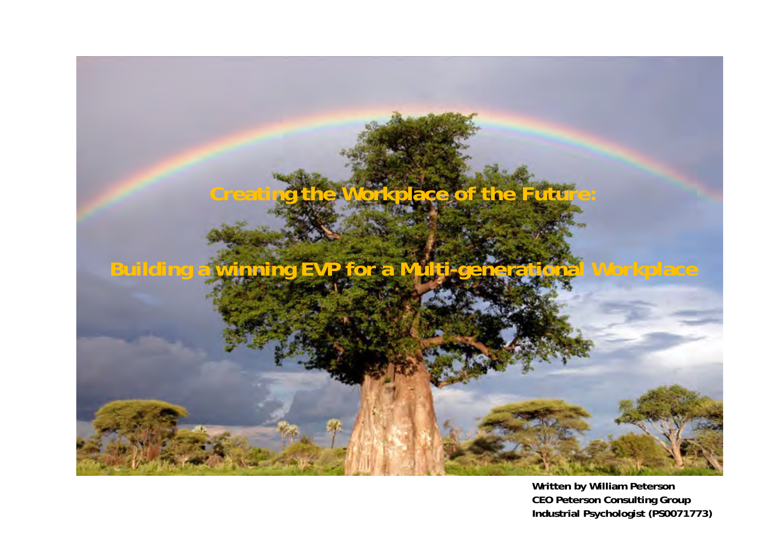

**Written by William Peterson CEO Peterson Consulting Group Industrial Psycholo gist (PS0071773)**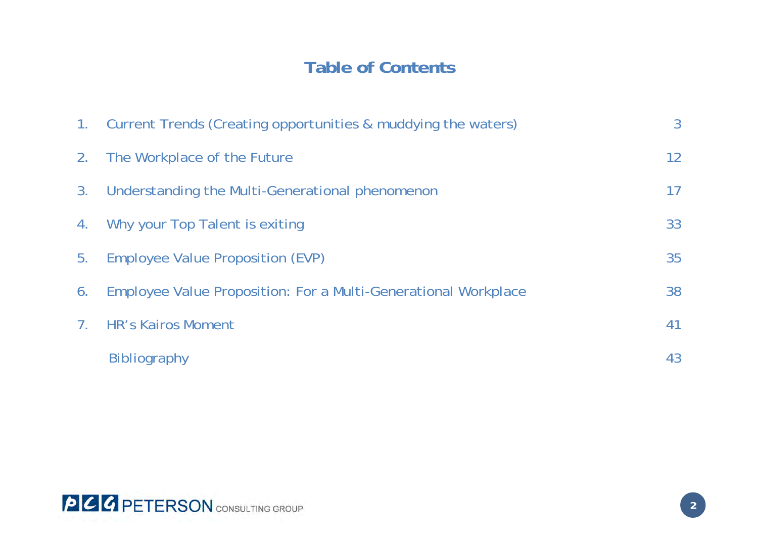# **Table of Contents**

|    | 1. Current Trends (Creating opportunities & muddying the waters) | 3  |
|----|------------------------------------------------------------------|----|
|    | 2. The Workplace of the Future                                   | 12 |
| 3. | Understanding the Multi-Generational phenomenon                  | 17 |
| 4. | Why your Top Talent is exiting                                   | 33 |
| 5. | Employee Value Proposition (EVP)                                 | 35 |
| 6. | Employee Value Proposition: For a Multi-Generational Workplace   | 38 |
|    | 7. HR's Kairos Moment                                            | 41 |
|    | <b>Bibliography</b>                                              | 43 |

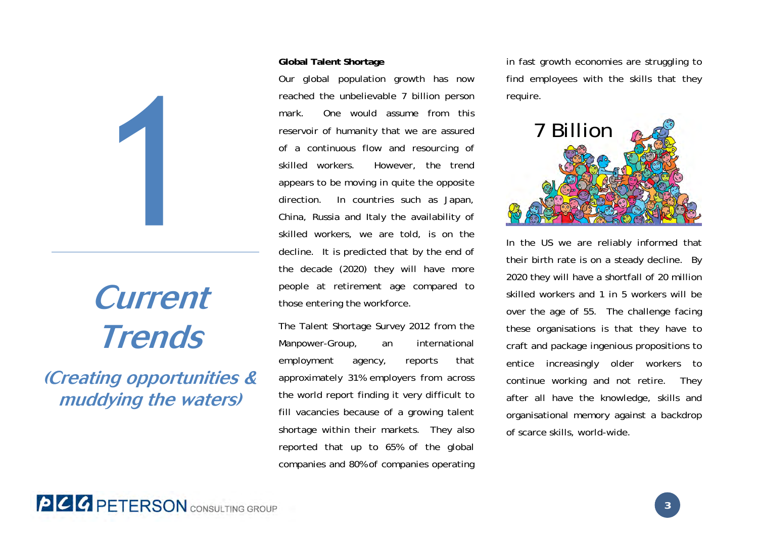# **Current Trends**

**(Creating opportunities & muddying the waters)**

#### **Global Talent Shortage**

Our global population growth has now reached the unbelievable 7 billion person mark. One would assume from this reservoir of humanity that we are assured of a continuous flow and resourcing of skilled workers. However, the trend appears to be moving in quite the opposite direction. In countries such as Japan, China, Russia and Italy the availability of skilled workers, we are told, is on the decline. It is predicted that by the end of the decade (2020) they will have more people at retirement age compared to those entering the workforce.

The Talent Shortage Survey 2012 from the Manpower-Group, an international employment agency, reports that approximately 31% employers from across the world report finding it very difficult to fill vacancies because of a growing talent shortage within their markets. They also reported that up to 65% of the global companies and 80% of companies operating in fast growth economies are struggling to find employees with the skills that they require.



In the US we are reliably informed that their birth rate is on a steady decline. By 2020 they will have a shortfall of 20 million skilled workers and 1 in 5 workers will be over the age of 55. The challenge facing these organisations is that they have to craft and package ingenious propositions to entice increasingly older workers to continue working and not retire. They after all have the knowledge, skills and organisational memory against a backdrop of scarce skills, world-wide.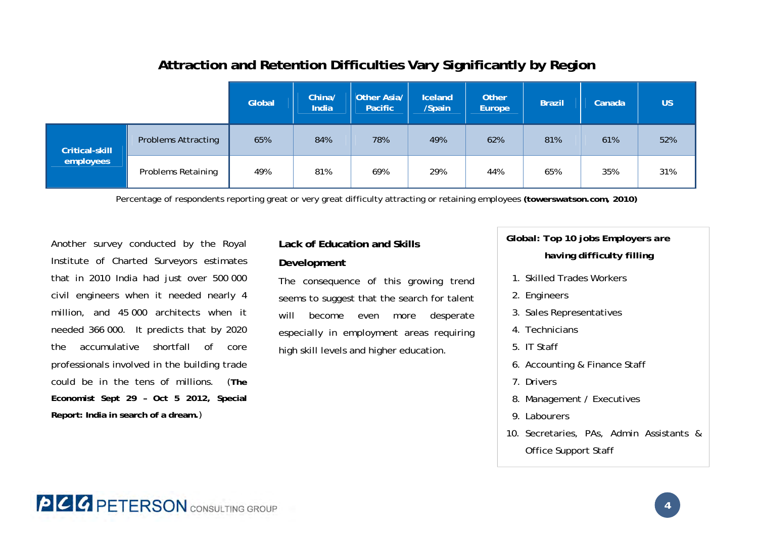|                |                            | Global | China/<br>India | Other Asia/<br><b>Pacific</b> | Iceland<br>/Spain | <b>Other</b><br>Europe | <b>Brazil</b> | Canada | <b>US</b> |
|----------------|----------------------------|--------|-----------------|-------------------------------|-------------------|------------------------|---------------|--------|-----------|
| Critical-skill | <b>Problems Attracting</b> | 65%    | 84%             | 78%                           | 49%               | 62%                    | 81%           | 61%    | 52%       |
| employees      | <b>Problems Retaining</b>  | 49%    | 81%             | 69%                           | 29%               | 44%                    | 65%           | 35%    | 31%       |

### **Attraction and Retention Difficulties Vary Significantly by Region**

Percentage of respondents reporting great or very great difficulty attracting or retaining employees *(towerswatson.com, 2010)* 

Another survey conducted by the Royal Institute of Charted Surveyors estimates that in 2010 India had just over 500 000 civil engineers when it needed nearly 4 million, and 45 000 architects when it needed 366 000. It predicts that by 2020 the accumulative shortfall of core professionals involved in the building trade could be in the tens of millions. (**The Economist Sept 29 – Oct 5 2012, Special Report: India in search of a dream.**)

### **Lack of Education and Skills Development**

The consequence of this growing trend seems to suggest that the search for talent will become even more desperate especially in employment areas requiring high skill levels and higher education.

*Global: Top 10 jobs Employers are having difficulty filling* 

- 1. Skilled Trades Workers
- 2. Engineers
- 3. Sales Representatives
- 4. Technicians
- 5. IT Staff
- 6. Accounting & Finance Staff
- 7. Drivers
- 8. Management / Executives
- 9. Labourers
- 10. Secretaries, PAs, Admin Assistants & Office Support Staff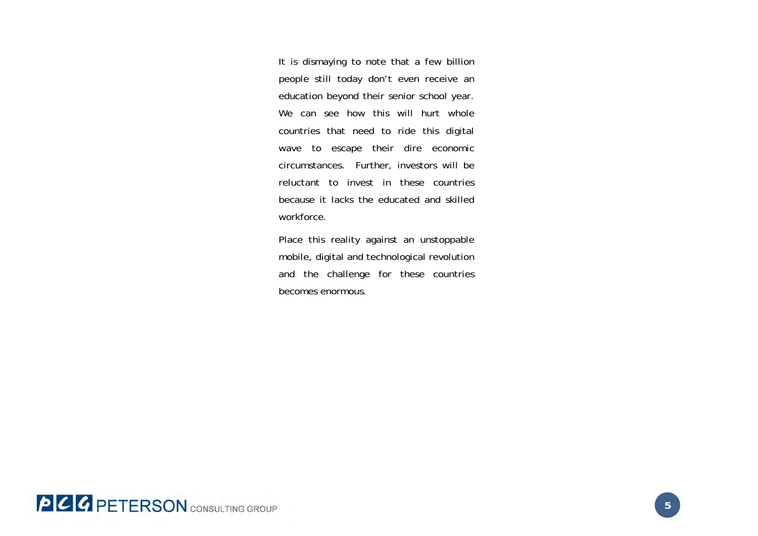It is dismaying to note that a few billion people still today don't even receive an education beyond their senior school year. We can see how this will hurt whole countries that need to ride this digital wave to escape their dire economic circumstances. Further, investors will be reluctant to invest in these countries because it lacks the educated and skilled workforce.

Place this reality against an unstoppable mobile, digital and technological revolution and the challenge for these countries becomes enormous.

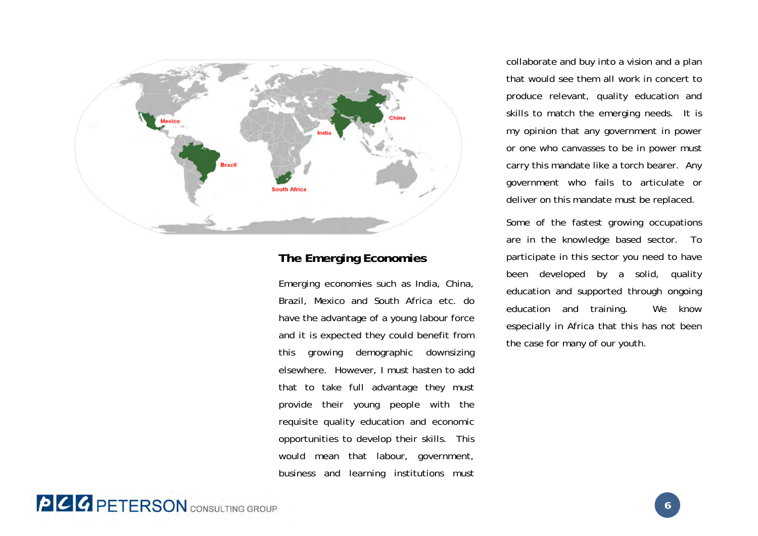

### **The Emerging Economies**

Emerging economies such as India, China, Brazil, Mexico and South Africa etc. do have the advantage of a young labour force and it is expected they could benefit from this growing demographic downsizing elsewhere. However, I must hasten to add that to take full advantage they must provide their young people with the requisite quality education and economic opportunities to develop their skills. This would mean that labour, government, business and learning institutions must collaborate and buy into a vision and a plan that would see them all work in concert to produce relevant, quality education and skills to match the emerging needs. It is my opinion that any government in power or one who canvasses to be in power must carry this mandate like a torch bearer. Any government who fails to articulate or deliver on this mandate must be replaced.

Some of the fastest growing occupations are in the knowledge based sector. To participate in this sector you need to have been developed by a solid, quality education and supported through ongoing education and training. We know especially in Africa that this has not been the case for many of our youth.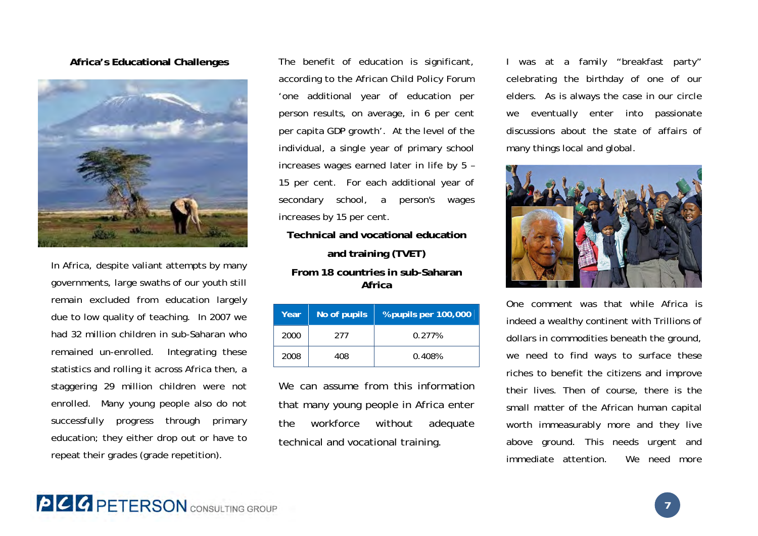### **Africa's Educational Challenges**



In Africa, despite valiant attempts by many governments, large swaths of our youth still remain excluded from education largely due to low quality of teaching. In 2007 we had 32 million children in sub-Saharan who remained un-enrolled. Integrating these statistics and rolling it across Africa then, a staggering 29 million children were not enrolled. Many young people also do not successfully progress through primary education; they either drop out or have to repeat their grades (grade repetition).

The benefit of education is significant, according to the African Child Policy Forum 'one additional year of education per person results, on average, in 6 per cent per capita GDP growth'. At the level of the individual, a single year of primary school increases wages earned later in life by 5 – 15 per cent. For each additional year of secondary school, a person's wages increases by 15 per cent.

**Technical and vocational education and training (TVET) From 18 countries in sub-Saharan** 

**Africa** 

| Year | No of pupils | % pupils per 100,000 |  |  |
|------|--------------|----------------------|--|--|
| 2000 | 277          | 0.277%               |  |  |
| 2008 | 408          | 0.408%               |  |  |

We can assume from this information that many young people in Africa enter the workforce without adequate technical and vocational training.

I was at a family "breakfast party" celebrating the birthday of one of our elders. As is always the case in our circle we eventually enter into passionate discussions about the state of affairs of many things local and global.



One comment was that while Africa is indeed a wealthy continent with Trillions of dollars in commodities beneath the ground, we need to find ways to surface these riches to benefit the citizens and improve their lives. Then of course, there is the small matter of the African human capital worth immeasurably more and they live above ground. This needs urgent and immediate attention. We need more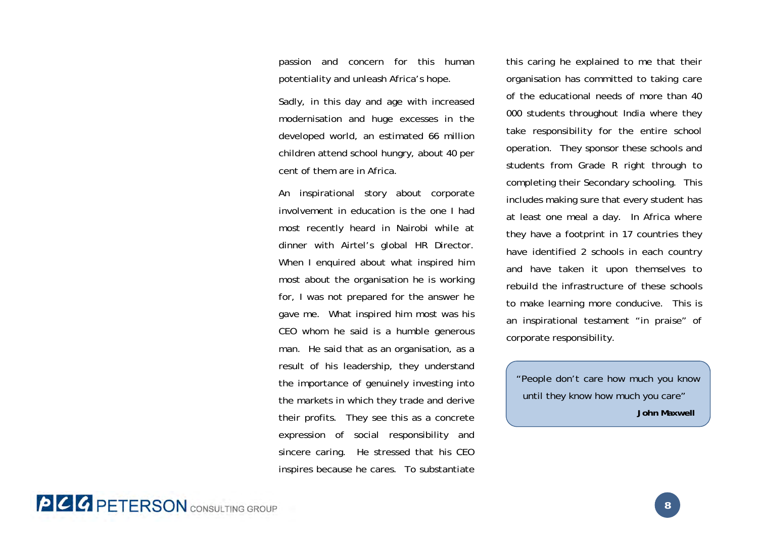passion and concern for this human potentiality and unleash Africa's hope.

Sadly, in this day and age with increased modernisation and huge excesses in the developed world, an estimated 66 million children attend school hungry, about 40 per cent of them are in Africa.

An inspirational story about corporate involvement in education is the one I had most recently heard in Nairobi while at dinner with Airtel's global HR Director. When I enquired about what inspired him most about the organisation he is working for, I was not prepared for the answer he gave me. What inspired him most was his CEO whom he said is a humble generous man. He said that as an organisation, as a result of his leadership, they understand the importance of genuinely investing into the markets in which they trade and derive their profits. They see this as a concrete expression of social responsibility and sincere caring. He stressed that his CEO inspires because he cares. To substantiate

this caring he explained to me that their organisation has committed to taking care of the educational needs of more than 40 000 students throughout India where they take responsibility for the entire school operation. They sponsor these schools and students from Grade R right through to completing their Secondary schooling. This includes making sure that every student has at least one meal a day. In Africa where they have a footprint in 17 countries they have identified 2 schools in each country and have taken it upon themselves to rebuild the infrastructure of these schools to make learning more conducive. This is an inspirational testament "in praise" of corporate responsibility.

"People don't care how much you know until they know how much you care" **John Maxwell**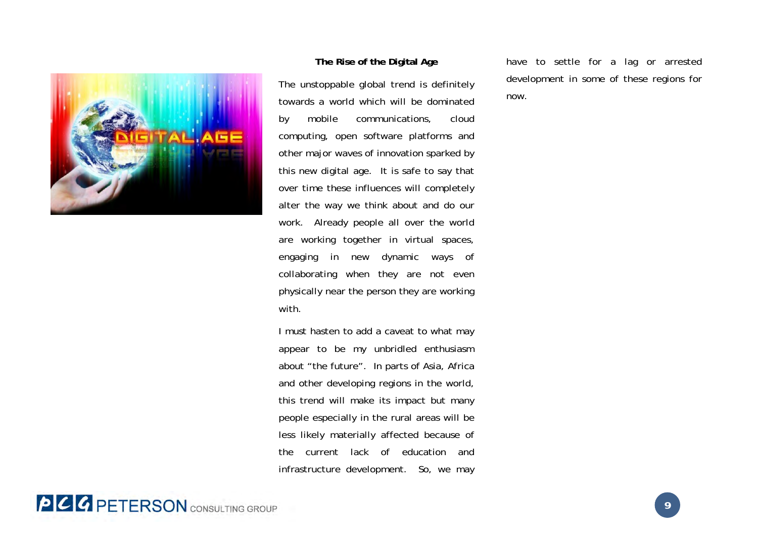

#### **The Rise of the Digital Age**

The unstoppable global trend is definitely towards a world which will be dominated by mobile communications, cloud computing, open software platforms and other major waves of innovation sparked by this new digital age. It is safe to say that over time these influences will completely alter the way we think about and do our work. Already people all over the world are working together in virtual spaces, engaging in new dynamic ways of collaborating when they are not even physically near the person they are working with.

I must hasten to add a caveat to what may appear to be my unbridled enthusiasm about "the future". In parts of Asia, Africa and other developing regions in the world, this trend will make its impact but many people especially in the rural areas will be less likely materially affected because of the current lack of education and infrastructure development. So, we may have to settle for a lag or arrested development in some of these regions for now.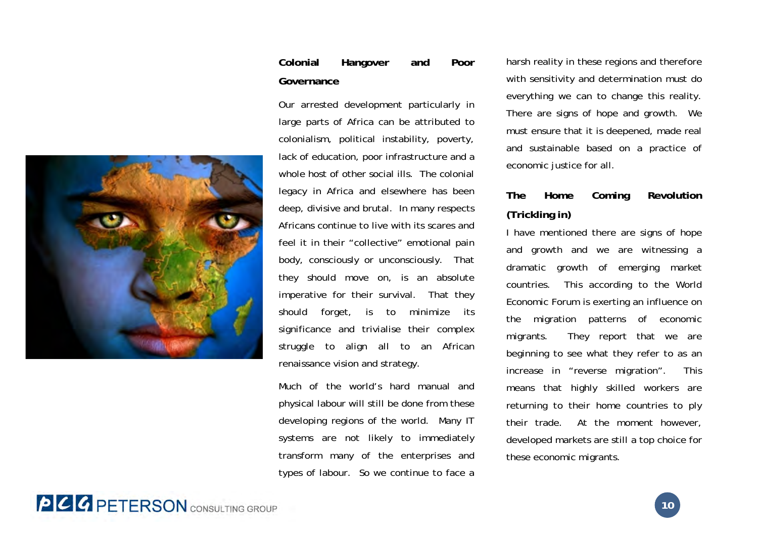### **Colonial Hangover and Poor Governance**

Our arrested development particularly in large parts of Africa can be attributed to colonialism, political instability, poverty, lack of education, poor infrastructure and a whole host of other social ills. The colonial legacy in Africa and elsewhere has been deep, divisive and brutal. In many respects Africans continue to live with its scares and feel it in their "collective" emotional pain body, consciously or unconsciously. That they should move on, is an absolute imperative for their survival. That they should forget, is to minimize its significance and trivialise their complex struggle to align all to an African renaissance vision and strategy.

Much of the world's hard manual and physical labour will still be done from these developing regions of the world. Many IT systems are not likely to immediately transform many of the enterprises and types of labour. So we continue to face a

harsh reality in these regions and therefore with sensitivity and determination must do everything we can to change this reality. There are signs of hope and growth. We must ensure that it is deepened, made real and sustainable based on a practice of economic justice for all.

### **The Home Coming Revolution (Trickling in)**

I have mentioned there are signs of hope and growth and we are witnessing a dramatic growth of emerging market countries. This according to the World Economic Forum is exerting an influence on the migration patterns of economic migrants. They report that we are beginning to see what they refer to as an increase in "reverse migration". This means that highly skilled workers are returning to their home countries to ply their trade. At the moment however, developed markets are still a top choice for these economic migrants.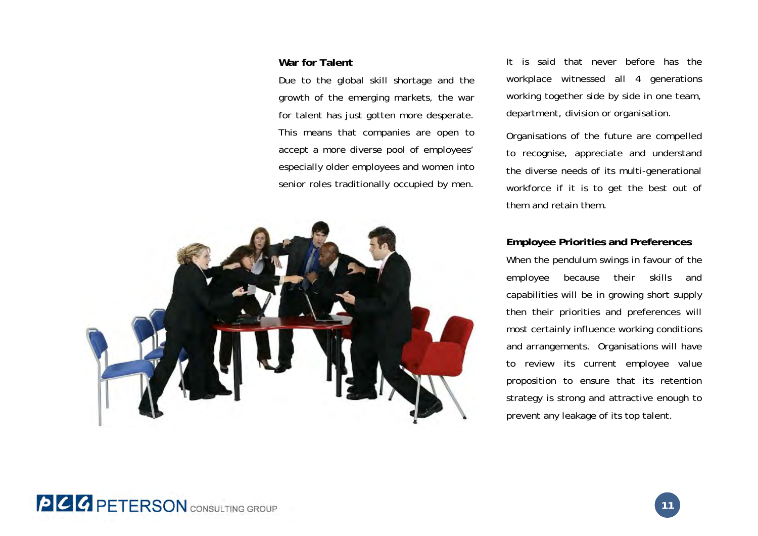#### **War for Talent**

Due to the global skill shortage and the growth of the emerging markets, the war for talent has just gotten more desperate. This means that companies are open to accept a more diverse pool of employees' especially older employees and women into senior roles traditionally occupied by men.



It is said that never before has the workplace witnessed all 4 generations working together side by side in one team, department, division or organisation.

Organisations of the future are compelled to recognise, appreciate and understand the diverse needs of its multi-generational workforce if it is to get the best out of them and retain them.

#### **Employee Priorities and Preferences**

When the pendulum swings in favour of the employee because their skills and capabilities will be in growing short supply then their priorities and preferences will most certainly influence working conditions and arrangements. Organisations will have to review its current employee value proposition to ensure that its retention strategy is strong and attractive enough to prevent any leakage of its top talent.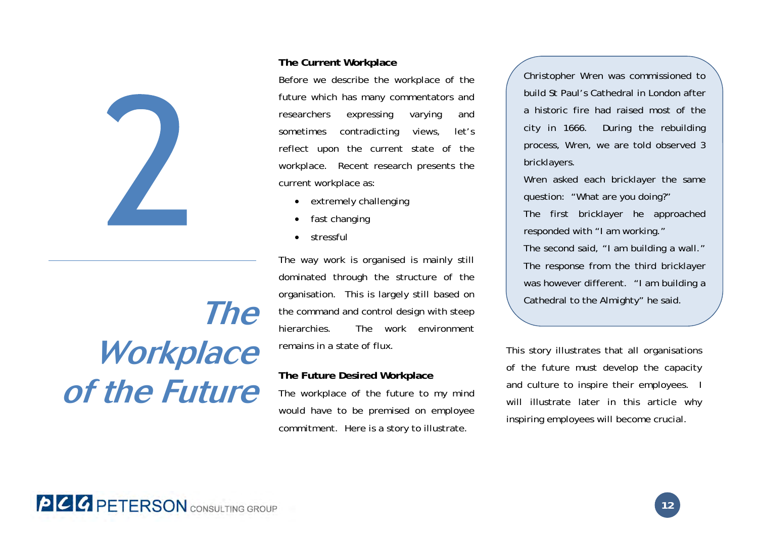

# **Workplace of the Future**

### **The Current Workplace**

Before we describe the workplace of the future which has many commentators and researchers expressing varying and sometimes contradicting views, let's reflect upon the current state of the workplace. Recent research presents the current workplace as:

- extremely challenging
- . fast changing
- $\bullet$ stressful

The way work is organised is mainly still dominated through the structure of the organisation. This is largely still based on the command and control design with steep hierarchies. The work environment remains in a state of flux. Cathedral to the Almighty" he said.

#### **The Future Desired Workplace**

The workplace of the future to my mind would have to be premised on employee commitment. Here is a story to illustrate.

Christopher Wren was commissioned to build St Paul's Cathedral in London after a historic fire had raised most of the city in 1666. During the rebuilding process, Wren, we are told observed 3 bricklayers.

Wren asked each bricklayer the same question: "What are you doing?"

The first bricklayer he approached responded with "I am working." The second said, "I am building a wall."

The response from the third bricklayer was however different. "I am building a

This story illustrates that all organisations of the future must develop the capacity and culture to inspire their employees. I will illustrate later in this article why inspiring employees will become crucial.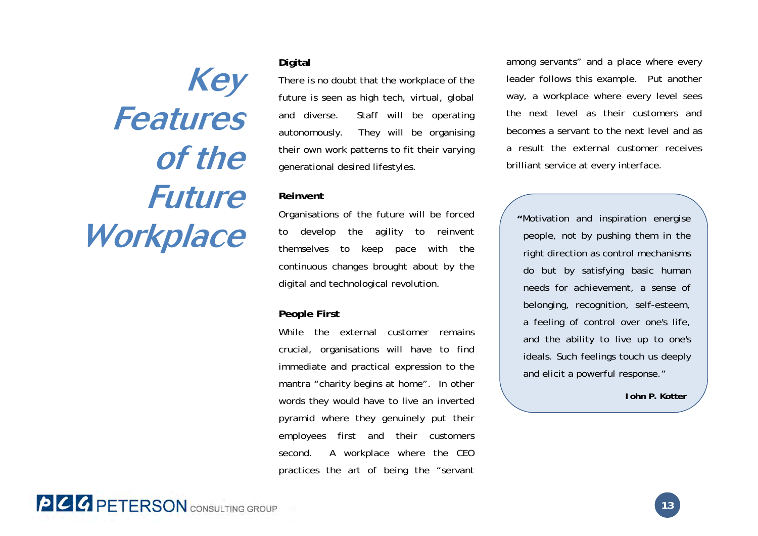**Key Features of the Future** 

#### **Digital**

There is no doubt that the workplace of the future is seen as high tech, virtual, global and diverse. Staff will be operating autonomously. They will be organising their own work patterns to fit their varying generational desired lifestyles.

#### **Reinvent**

Organisations of the future will be forced to develop the agility to reinvent themselves to keep pace with the continuous changes brought about by the digital and technological revolution. **Workplace** *Motivation and inspiration energise to develop the agility to reinvent right direction as control mechanisms* 

### **People First**

While the external customer remains crucial, organisations will have to find immediate and practical expression to the mantra "charity begins at home". In other words they would have to live an inverted pyramid where they genuinely put their employees first and their customers second. A workplace where the CEO practices the art of being the "servant among servants" and a place where every leader follows this example. Put another way, a workplace where every level sees the next level as their customers and becomes a servant to the next level and as a result the external customer receives brilliant service at every interface.

do but by satisfying basic human needs for achievement, a sense of belonging, recognition, self-esteem, a feeling of control over one's life, and the ability to live up to one's ideals. Such feelings touch us deeply and elicit a powerful response."

**John P. Kotter**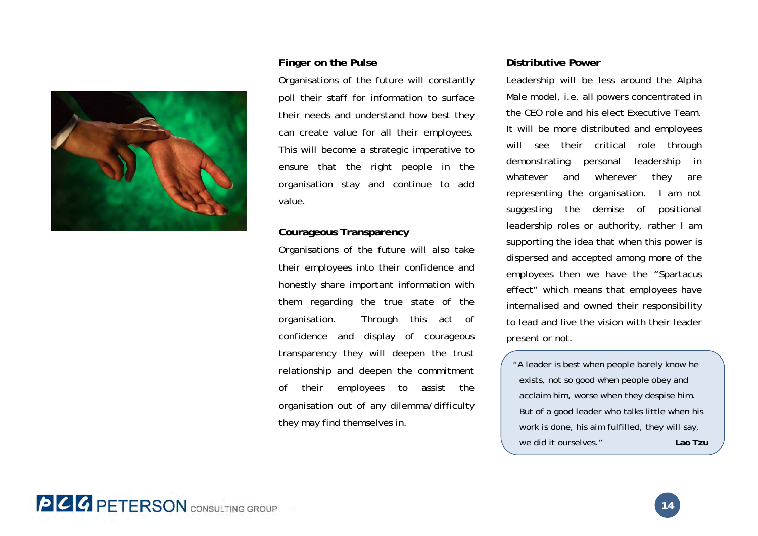

#### **Finger on the Pulse**

Organisations of the future will constantly poll their staff for information to surface their needs and understand how best they can create value for all their employees. This will become a strategic imperative to ensure that the right people in the organisation stay and continue to add value.

#### **Courageous Transparency**

Organisations of the future will also take their employees into their confidence and honestly share important information with them regarding the true state of the organisation. Through this act of confidence and display of courageous transparency they will deepen the trust relationship and deepen the commitment of their employees to assist the organisation out of any dilemma/difficulty they may find themselves in.

#### **Distributive Power**

Leadership will be less around the Alpha Male model, i.e. all powers concentrated in the CEO role and his elect Executive Team. It will be more distributed and employees will see their critical role through demonstrating personal leadership in whatever and wherever they are representing the organisation. I am not suggesting the demise of positional leadership roles or authority, rather I am supporting the idea that when this power is dispersed and accepted among more of the employees then we have the "Spartacus effect" which means that employees have internalised and owned their responsibility to lead and live the vision with their leader present or not.

"A leader is best when people barely know he exists, not so good when people obey and acclaim him, worse when they despise him. But of a good leader who talks little when his work is done, his aim fulfilled, they will say, we did it ourselves."**Lao Tzu**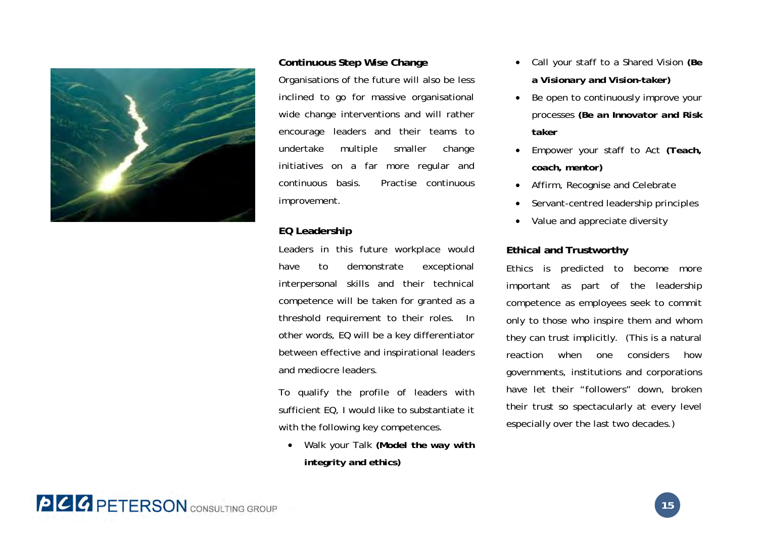

#### **Continuous Step Wise Change**

Organisations of the future will also be less inclined to go for massive organisational wide change interventions and will rather encourage leaders and their teams to undertake multiple smaller change initiatives on a far more regular and continuous basis. Practise continuous improvement.

### **EQ Leadership**

Leaders in this future workplace would have to demonstrate exceptional interpersonal skills and their technical competence will be taken for granted as a threshold requirement to their roles. In other words, EQ will be a key differentiator between effective and inspirational leaders and mediocre leaders.

To qualify the profile of leaders with sufficient EQ, I would like to substantiate it with the following key competences.

 $\bullet$  Walk your Talk *(Model the way with integrity and ethics)* 

- . Call your staff to a Shared Vision *(Be a Visionary and Vision-taker)*
- $\bullet$  Be open to continuously improve your processes *(Be an Innovator and Risk taker*
- . Empower your staff to Act *(Teach, coach, mentor)*
- $\bullet$ Affirm, Recognise and Celebrate
- $\bullet$ Servant-centred leadership principles
- $\bullet$ Value and appreciate diversity

### **Ethical and Trustworthy**

Ethics is predicted to become more important as part of the leadership competence as employees seek to commit only to those who inspire them and whom they can trust implicitly. (This is a natural reaction when one considers how governments, institutions and corporations have let their "followers" down, broken their trust so spectacularly at every level especially over the last two decades.)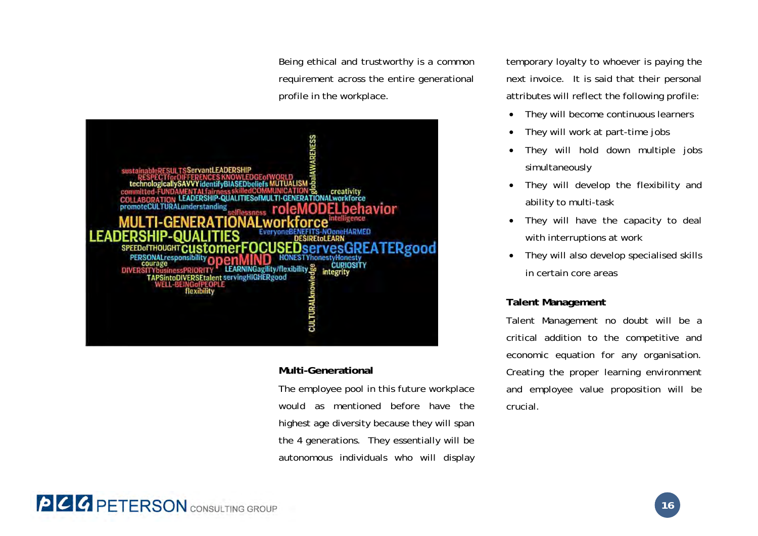Being ethical and trustworthy is a common requirement across the entire generational profile in the workplace.



### **Multi-Generational**

The employee pool in this future workplace would as mentioned before have the highest age diversity because they will span the 4 generations. They essentially will be autonomous individuals who will display temporary loyalty to whoever is paying the next invoice. It is said that their personal attributes will reflect the following profile:

- $\bullet$ They will become continuous learners
- $\bullet$ They will work at part-time jobs
- $\bullet$  They will hold down multiple jobs simultaneously
- $\bullet$  They will develop the flexibility and ability to multi-task
- $\bullet$  They will have the capacity to deal with interruptions at work
- $\bullet$  They will also develop specialised skills in certain core areas

### **Talent Management**

Talent Management no doubt will be a critical addition to the competitive and economic equation for any organisation. Creating the proper learning environment and employee value proposition will be crucial.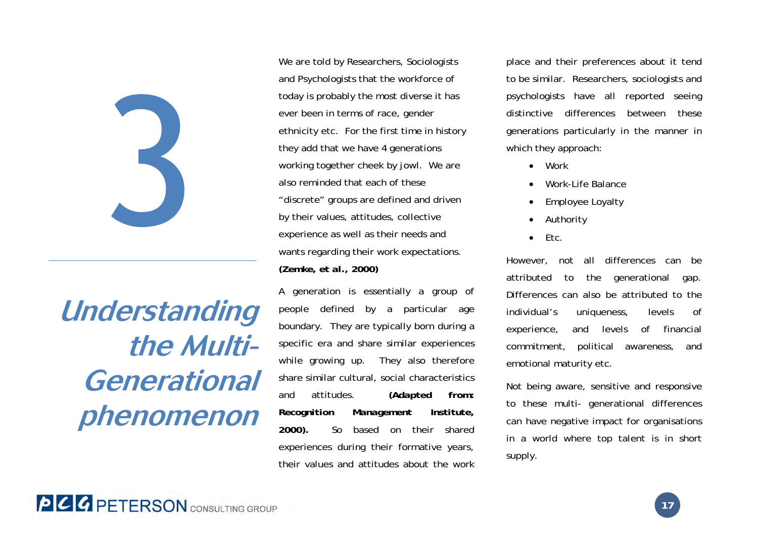

# **Understanding the Multi-Generational phenomenon**

We are told by Researchers, Sociologists and Psychologists that the workforce of today is probably the most diverse it has ever been in terms of race, gender ethnicity etc. For the first time in history they add that we have 4 generations working together cheek by jowl. We are also reminded that each of these "discrete" groups are defined and driven by their values, attitudes, collective experience as well as their needs and wants regarding their work expectations. *(Zemke, et al., 2000)* 

A generation is essentially a group of people defined by a particular age boundary. They are typically born during a specific era and share similar experiences while growing up. They also therefore share similar cultural, social characteristics and attitudes. *(Adapted from: Recognition Management Institute, 2000).* So based on their shared experiences during their formative years, their values and attitudes about the work place and their preferences about it tend to be similar. Researchers, sociologists and psychologists have all reported seeing distinctive differences between these generations particularly in the manner in which they approach:

- 0 Work
- 0 Work-Life Balance
- 0 Employee Loyalty
- 0 Authority
- 0 Etc.

However, not all differences can be attributed to the generational gap. Differences can also be attributed to the individual's uniqueness, levels of experience, and levels of financial commitment, political awareness, and emotional maturity etc.

Not being aware, sensitive and responsive to these multi- generational differences can have negative impact for organisations in a world where top talent is in short supply.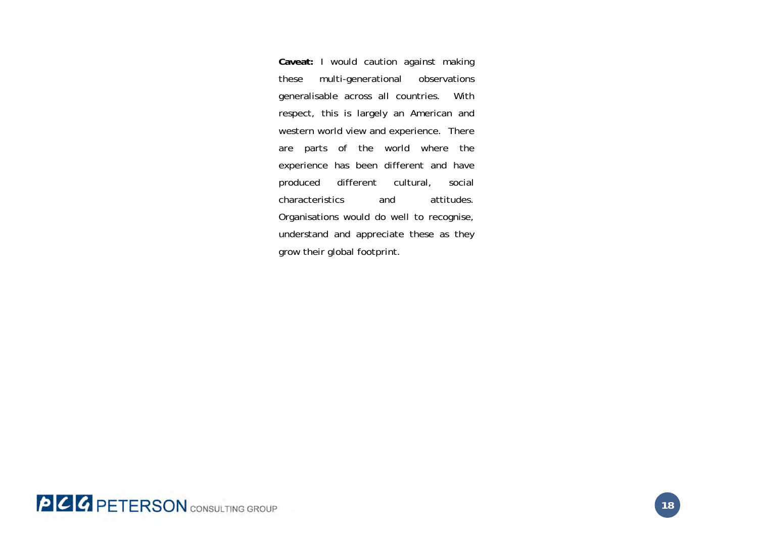**Caveat:** I would caution against making these multi-generational observations generalisable across all countries. With respect, this is largely an American and western world view and experience. There are parts of the world where the experience has been different and have produced different cultural, social characteristics and attitudes. Organisations would do well to recognise, understand and appreciate these as they grow their global footprint.

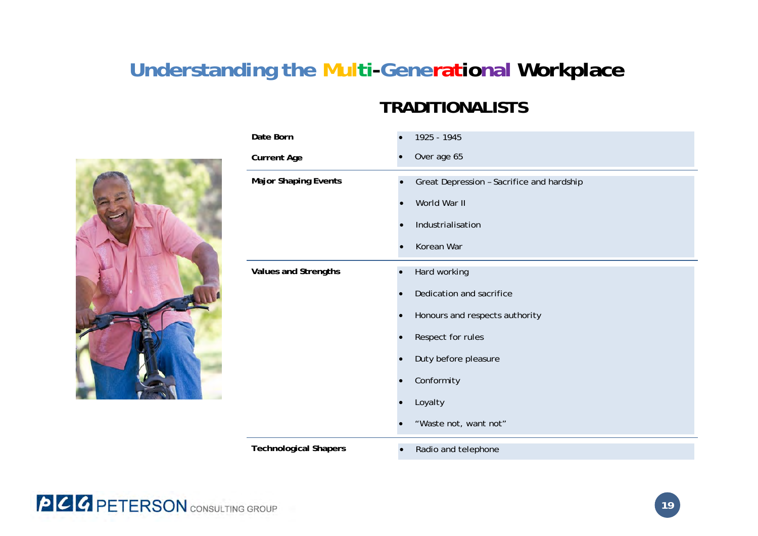# **Understanding the Multi-Generational Workplace**

### **TRADITIONALISTS**



| Date Born                    | 1925 - 1945                               |
|------------------------------|-------------------------------------------|
| <b>Current Age</b>           | Over age 65                               |
| <b>Major Shaping Events</b>  | Great Depression - Sacrifice and hardship |
|                              | World War II                              |
|                              | Industrialisation                         |
|                              | Korean War                                |
| <b>Values and Strengths</b>  | Hard working                              |
|                              | Dedication and sacrifice                  |
|                              | Honours and respects authority            |
|                              | Respect for rules                         |
|                              | Duty before pleasure                      |
|                              | Conformity                                |
|                              | Loyalty                                   |
|                              | "Waste not, want not"                     |
| <b>Technological Shapers</b> | Radio and telephone<br>$\bullet$          |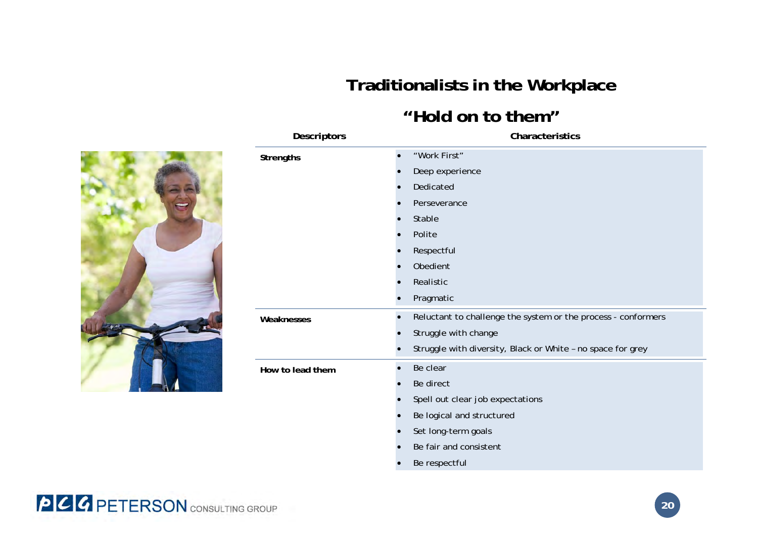# **Traditionalists in the Workplace**

### **"Hold on to them"**

| <b>Descriptors</b> | Characteristics                                                            |
|--------------------|----------------------------------------------------------------------------|
| <b>Strengths</b>   | "Work First"                                                               |
|                    | Deep experience                                                            |
|                    | Dedicated                                                                  |
|                    | Perseverance                                                               |
|                    | Stable                                                                     |
|                    | Polite                                                                     |
|                    | Respectful                                                                 |
|                    | Obedient                                                                   |
|                    | Realistic                                                                  |
|                    | Pragmatic                                                                  |
| Weaknesses         | Reluctant to challenge the system or the process - conformers<br>$\bullet$ |
|                    | Struggle with change                                                       |
|                    | Struggle with diversity, Black or White - no space for grey                |
| How to lead them   | Be clear                                                                   |
|                    | Be direct                                                                  |
|                    | Spell out clear job expectations                                           |
|                    | Be logical and structured                                                  |
|                    | Set long-term goals                                                        |
|                    | Be fair and consistent                                                     |
|                    |                                                                            |

 $\bullet$ Be respectful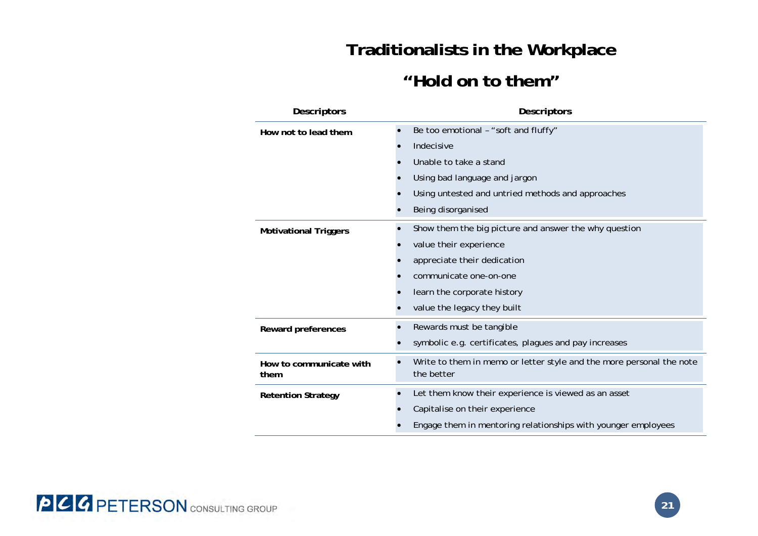# **Traditionalists in the Workplace**

### **"Hold on to them"**

| <b>Descriptors</b>              | <b>Descriptors</b> |                                                                                    |  |
|---------------------------------|--------------------|------------------------------------------------------------------------------------|--|
| How not to lead them            | $\bullet$          | Be too emotional - "soft and fluffy"                                               |  |
|                                 |                    | Indecisive                                                                         |  |
|                                 |                    | Unable to take a stand                                                             |  |
|                                 |                    | Using bad language and jargon                                                      |  |
|                                 |                    | Using untested and untried methods and approaches                                  |  |
|                                 |                    | Being disorganised                                                                 |  |
| <b>Motivational Triggers</b>    | $\bullet$          | Show them the big picture and answer the why question                              |  |
|                                 |                    | value their experience                                                             |  |
|                                 |                    | appreciate their dedication                                                        |  |
|                                 |                    | communicate one-on-one                                                             |  |
|                                 |                    | learn the corporate history                                                        |  |
|                                 |                    | value the legacy they built                                                        |  |
| Reward preferences              |                    | Rewards must be tangible                                                           |  |
|                                 |                    | symbolic e.g. certificates, plagues and pay increases                              |  |
| How to communicate with<br>them |                    | Write to them in memo or letter style and the more personal the note<br>the better |  |
| <b>Retention Strategy</b>       | $\bullet$          | Let them know their experience is viewed as an asset                               |  |
|                                 |                    | Capitalise on their experience                                                     |  |
|                                 |                    | Engage them in mentoring relationships with younger employees                      |  |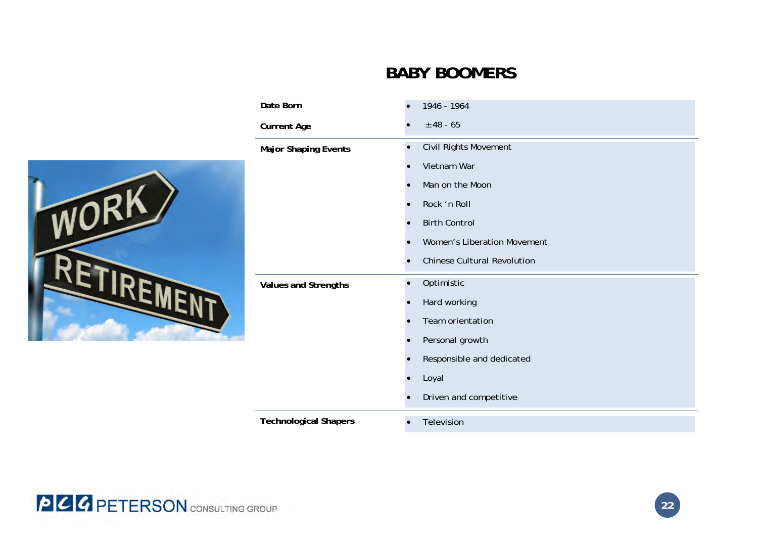## **BABY BOOMERS**

| Date Born                    | 1946 - 1964                                     |
|------------------------------|-------------------------------------------------|
| <b>Current Age</b>           | $± 48 - 65$                                     |
| <b>Major Shaping Events</b>  | Civil Rights Movement<br>$\bullet$              |
|                              | Vietnam War<br>$\bullet$                        |
|                              | Man on the Moon<br>$\bullet$                    |
|                              | Rock 'n Roll<br>$\bullet$                       |
|                              | <b>Birth Control</b><br>$\bullet$               |
|                              | Women's Liberation Movement                     |
|                              | <b>Chinese Cultural Revolution</b><br>$\bullet$ |
| Values and Strengths         | Optimistic<br>$\bullet$                         |
|                              | Hard working<br>$\bullet$                       |
|                              | Team orientation<br>$\bullet$                   |
|                              | Personal growth<br>$\bullet$                    |
|                              | Responsible and dedicated                       |
|                              | Loyal                                           |
|                              | Driven and competitive<br>$\bullet$             |
| <b>Technological Shapers</b> | Television<br>$\bullet$                         |



WO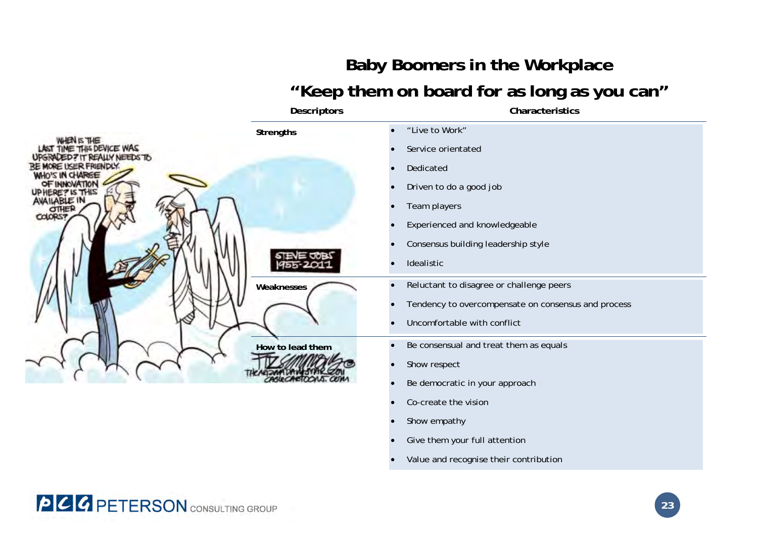# **Baby Boomers in the Workplace "Keep them on board for as long as you can"**

|                                                                  | Descriptors      | Characteristics                                     |
|------------------------------------------------------------------|------------------|-----------------------------------------------------|
| <b>IS THE</b><br><b>THIS DEVICE WAS</b><br>Y NEEDS TO<br>RIENDLY | Strengths        | "Live to Work"                                      |
|                                                                  |                  | Service orientated                                  |
|                                                                  |                  | Dedicated                                           |
|                                                                  |                  | Driven to do a good job                             |
|                                                                  |                  | Team players                                        |
| COLORS:                                                          |                  | Experienced and knowledgeable                       |
|                                                                  |                  | Consensus building leadership style                 |
|                                                                  |                  | Idealistic                                          |
|                                                                  | Weaknesses       | Reluctant to disagree or challenge peers            |
|                                                                  |                  | Tendency to overcompensate on consensus and process |
|                                                                  |                  | Uncomfortable with conflict                         |
|                                                                  | How to lead them | Be consensual and treat them as equals              |
|                                                                  |                  | Show respect                                        |
|                                                                  |                  | Be democratic in your approach                      |
|                                                                  |                  | Co-create the vision                                |
|                                                                  |                  | Show empathy                                        |
|                                                                  |                  | Give them your full attention                       |

. Value and recognise their contribution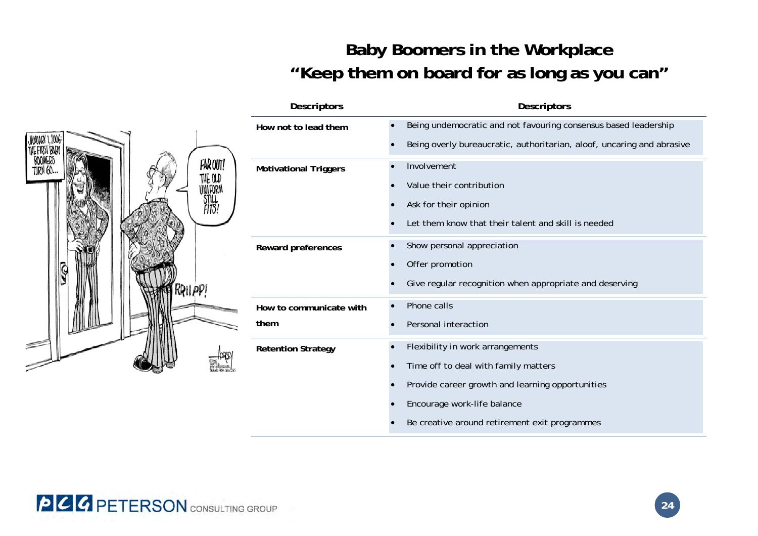# **Baby Boomers in the Workplace "Keep them on board for as long as you can"**



| <b>Descriptors</b>        |           | <b>Descriptors</b>                                                     |
|---------------------------|-----------|------------------------------------------------------------------------|
| How not to lead them      | $\bullet$ | Being undemocratic and not favouring consensus based leadership        |
|                           |           | Being overly bureaucratic, authoritarian, aloof, uncaring and abrasive |
| Motivational Triggers     | $\bullet$ | Involvement                                                            |
|                           |           | Value their contribution                                               |
|                           |           | Ask for their opinion                                                  |
|                           |           | Let them know that their talent and skill is needed                    |
| Reward preferences        | $\bullet$ | Show personal appreciation                                             |
|                           |           | Offer promotion                                                        |
|                           |           | Give regular recognition when appropriate and deserving                |
| How to communicate with   |           | Phone calls                                                            |
| them                      |           | Personal interaction                                                   |
| <b>Retention Strategy</b> |           | Flexibility in work arrangements                                       |
|                           |           | Time off to deal with family matters                                   |
|                           |           | Provide career growth and learning opportunities                       |
|                           |           | Encourage work-life balance                                            |
|                           |           | Be creative around retirement exit programmes                          |

**PCG PETERSON** CONSULTING GROUP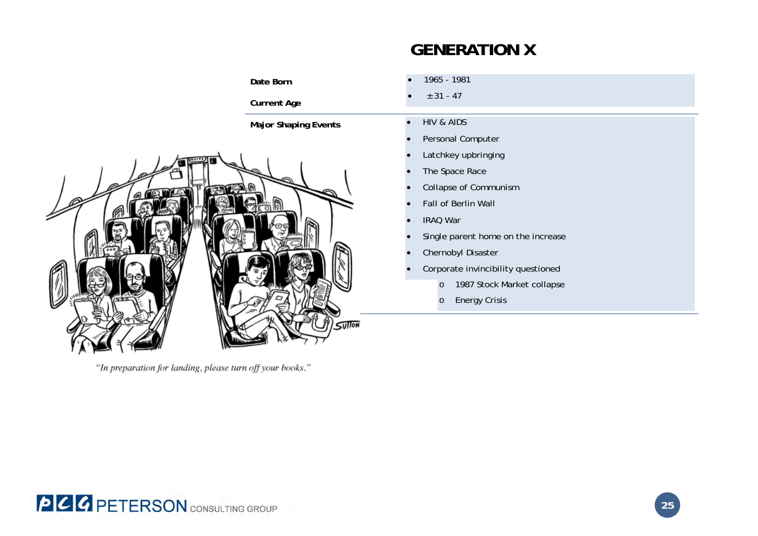# **GENERATION X**



"In preparation for landing, please turn off your books."

- Single parent home on the increase
- Corporate invincibility questioned
	- 1987 Stock Market collapse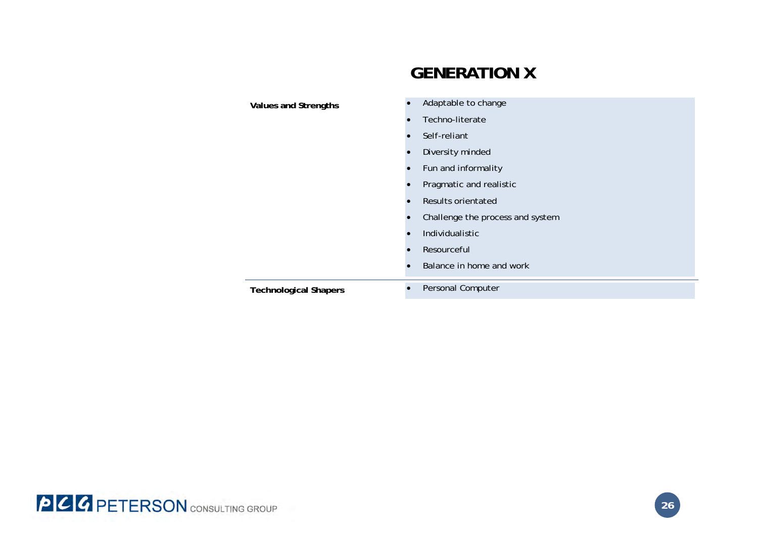|                              | <b>GENERATION X</b>              |
|------------------------------|----------------------------------|
|                              | Adaptable to change              |
| <b>Values and Strengths</b>  | Techno-literate                  |
|                              | Self-reliant                     |
|                              | Diversity minded<br>$\bullet$    |
|                              | Fun and informality<br>$\bullet$ |
|                              | Pragmatic and realistic          |
|                              | Results orientated<br>$\bullet$  |
|                              | Challenge the process and system |
|                              | Individualistic                  |
|                              | Resourceful                      |
|                              | Balance in home and work         |
| <b>Technological Shapers</b> | Personal Computer                |

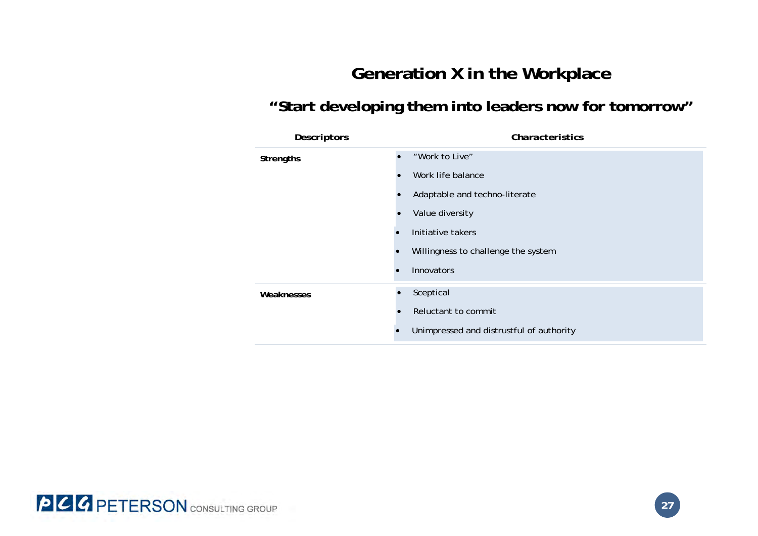## **Generation X in the Workplace**

## **"Start developing them into leaders now for tomorrow"**

| <b>Descriptors</b> | Characteristics                          |  |  |
|--------------------|------------------------------------------|--|--|
| <b>Strengths</b>   | "Work to Live"                           |  |  |
|                    | Work life balance                        |  |  |
|                    | Adaptable and techno-literate            |  |  |
|                    | Value diversity                          |  |  |
| $\bullet$          | Initiative takers                        |  |  |
|                    | Willingness to challenge the system      |  |  |
|                    | <b>Innovators</b>                        |  |  |
| Weaknesses         | Sceptical                                |  |  |
|                    | Reluctant to commit                      |  |  |
|                    | Unimpressed and distrustful of authority |  |  |

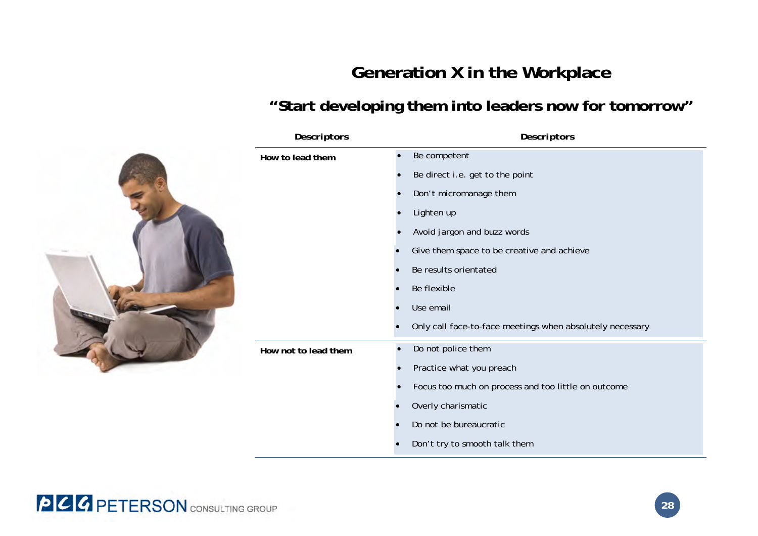# **Generation X in the Workplace**

## **"Start developing them into leaders now for tomorrow"**

| <b>Descriptors</b>                | <b>Descriptors</b>                                        |
|-----------------------------------|-----------------------------------------------------------|
| How to lead them<br>$\bullet$     | Be competent                                              |
|                                   | Be direct i.e. get to the point                           |
|                                   | Don't micromanage them                                    |
|                                   | Lighten up                                                |
|                                   | Avoid jargon and buzz words                               |
|                                   | Give them space to be creative and achieve                |
|                                   | Be results orientated                                     |
|                                   | Be flexible                                               |
|                                   | Use email                                                 |
|                                   | Only call face-to-face meetings when absolutely necessary |
| $\bullet$<br>How not to lead them | Do not police them                                        |
|                                   | Practice what you preach                                  |
|                                   | Focus too much on process and too little on outcome       |
|                                   | Overly charismatic                                        |
|                                   | Do not be bureaucratic                                    |
|                                   | Don't try to smooth talk them                             |

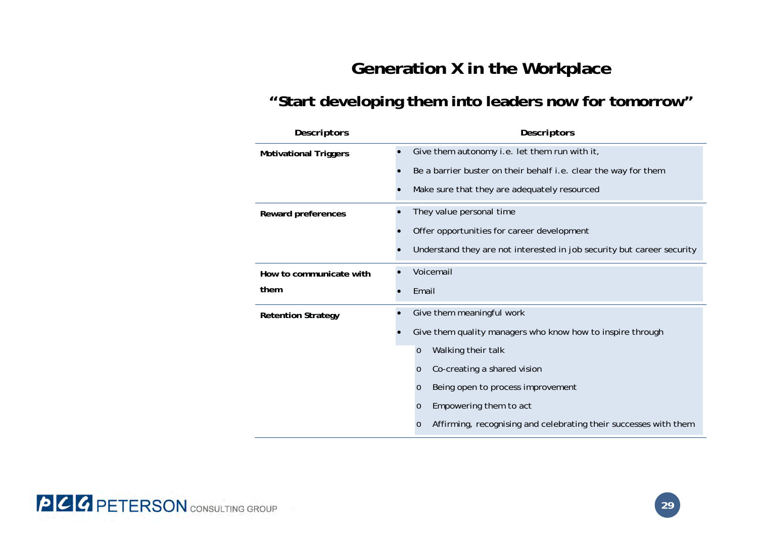# **Generation X in the Workplace**

### **"Start developing them into leaders now for tomorrow"**

| <b>Descriptors</b>           | <b>Descriptors</b>                                                          |
|------------------------------|-----------------------------------------------------------------------------|
| <b>Motivational Triggers</b> | Give them autonomy i.e. let them run with it,                               |
|                              | Be a barrier buster on their behalf i.e. clear the way for them             |
|                              | Make sure that they are adequately resourced                                |
| Reward preferences           | They value personal time                                                    |
|                              | Offer opportunities for career development                                  |
|                              | Understand they are not interested in job security but career security      |
| How to communicate with      | Voicemail                                                                   |
| them                         | Email                                                                       |
| <b>Retention Strategy</b>    | Give them meaningful work                                                   |
|                              | Give them quality managers who know how to inspire through                  |
|                              | Walking their talk<br>$\circ$                                               |
|                              | Co-creating a shared vision<br>$\circ$                                      |
|                              | Being open to process improvement<br>$\circ$                                |
|                              | Empowering them to act<br>$\circ$                                           |
|                              | Affirming, recognising and celebrating their successes with them<br>$\circ$ |

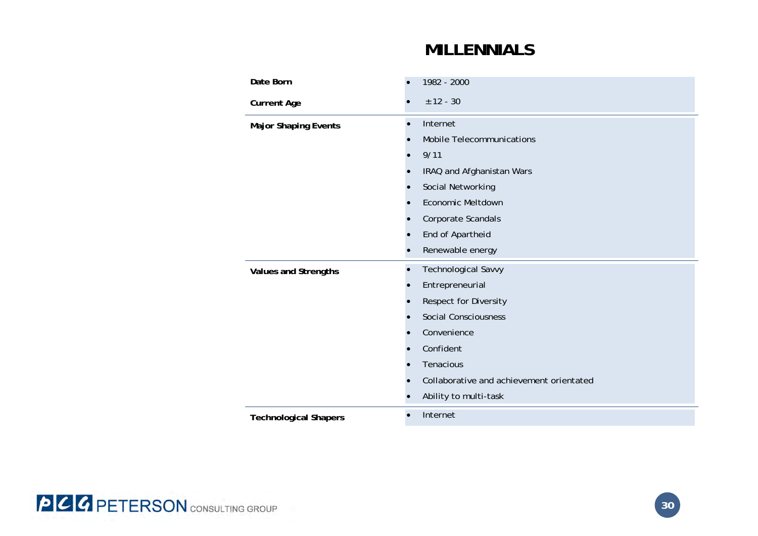### **MILLENNIALS**

| Date Born                    | 1982 - 2000                              |
|------------------------------|------------------------------------------|
| <b>Current Age</b>           | $± 12 - 30$                              |
| <b>Major Shaping Events</b>  | Internet<br>$\bullet$                    |
|                              | <b>Mobile Telecommunications</b>         |
|                              | 9/11                                     |
|                              | IRAQ and Afghanistan Wars                |
|                              | Social Networking                        |
|                              | Economic Meltdown                        |
|                              | Corporate Scandals                       |
|                              | End of Apartheid                         |
|                              | Renewable energy                         |
| <b>Values and Strengths</b>  | Technological Savvy<br>$\bullet$         |
|                              | Entrepreneurial                          |
|                              | Respect for Diversity                    |
|                              | <b>Social Consciousness</b>              |
|                              | Convenience                              |
|                              | Confident                                |
|                              | Tenacious                                |
|                              | Collaborative and achievement orientated |
|                              | Ability to multi-task                    |
| <b>Technological Shapers</b> | Internet<br>$\bullet$                    |

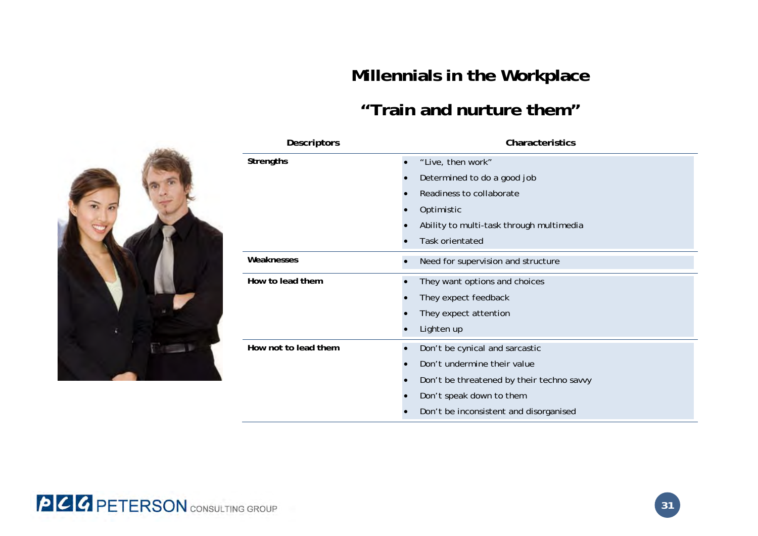# **Millennials in the Workplace**

## **"Train and nurture them"**





| <b>PCC PETERSON</b> CONSULTING GROUP |  |
|--------------------------------------|--|
|--------------------------------------|--|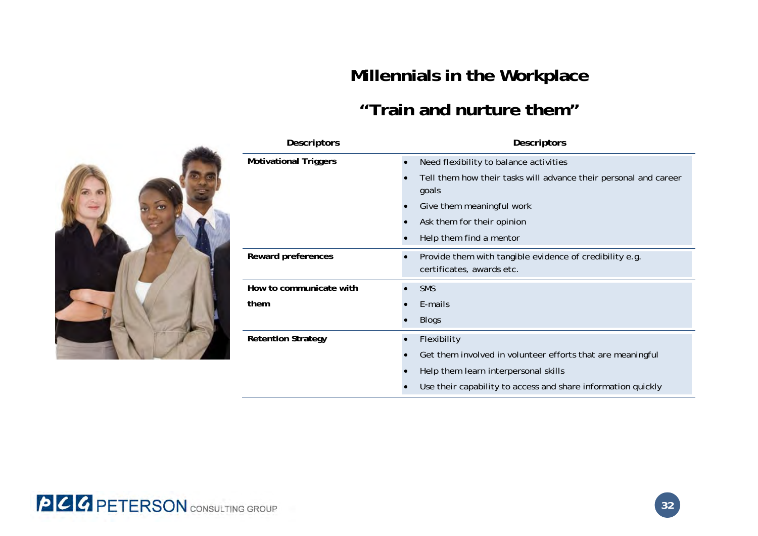# **Millennials in the Workplace**

## **"Train and nurture them"**



| Descriptors                  | Descriptors                                                                          |
|------------------------------|--------------------------------------------------------------------------------------|
| <b>Motivational Triggers</b> | Need flexibility to balance activities<br>$\bullet$                                  |
|                              | Tell them how their tasks will advance their personal and career<br>goals            |
|                              | Give them meaningful work                                                            |
|                              | Ask them for their opinion                                                           |
|                              | Help them find a mentor                                                              |
| Reward preferences           | Provide them with tangible evidence of credibility e.g.<br>certificates, awards etc. |
| How to communicate with      | <b>SMS</b>                                                                           |
| them                         | E-mails                                                                              |
|                              | <b>Blogs</b>                                                                         |
| <b>Retention Strategy</b>    | Flexibility                                                                          |
|                              | Get them involved in volunteer efforts that are meaningful                           |
|                              | Help them learn interpersonal skills                                                 |
|                              | Use their capability to access and share information quickly                         |

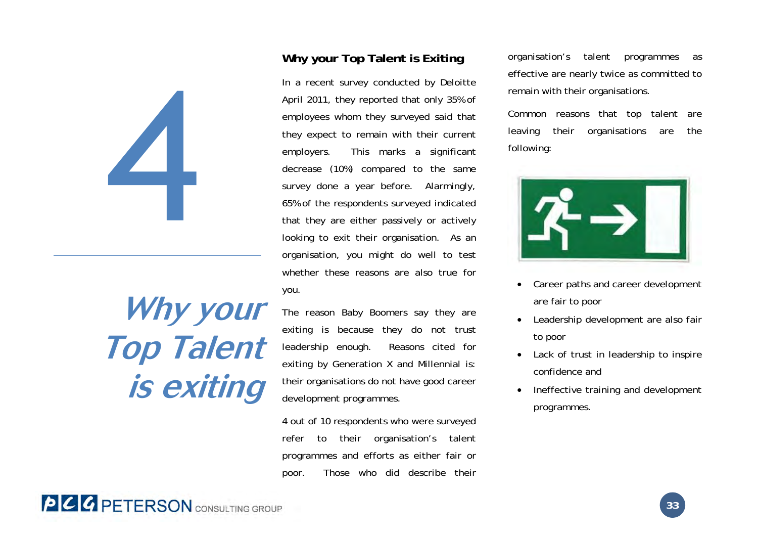

# **Why your Top Talent is exiting**

### **Why your Top Talent is Exiting**

In a recent survey conducted by Deloitte April 2011, they reported that only 35% of employees whom they surveyed said that they expect to remain with their current employers. This marks a significant decrease (10%) compared to the same survey done a year before. Alarmingly, 65% of the respondents surveyed indicated that they are either passively or actively looking to exit their organisation. As an organisation, you might do well to test whether these reasons are also true for you.

The reason Baby Boomers say they are exiting is because they do not trust leadership enough. Reasons cited for exiting by Generation X and Millennial is: their organisations do not have good career development programmes.

4 out of 10 respondents who were surveyed refer to their organisation's talent programmes and efforts as either fair or poor. Those who did describe their

organisation's talent programmes as effective are nearly twice as committed to remain with their organisations.

Common reasons that top talent are leaving their organisations are the following:



- $\bullet$  Career paths and career development are fair to poor
- . Leadership development are also fair to poor
- $\bullet$  Lack of trust in leadership to inspire confidence and
- . Ineffective training and development programmes.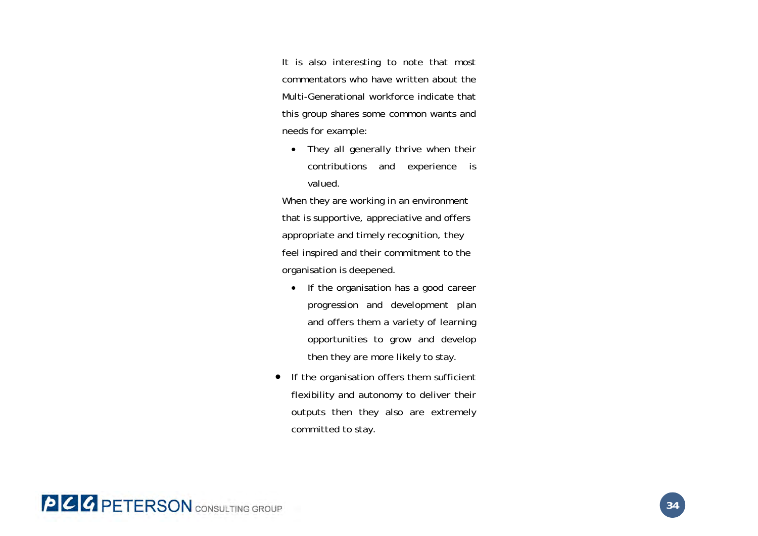It is also interesting to note that most commentators who have written about the Multi-Generational workforce indicate that this group shares some common wants and needs for example:

• They all generally thrive when their contributions and experience is valued.

When they are working in an environment that is supportive, appreciative and offers appropriate and timely recognition, they feel inspired and their commitment to the organisation is deepened.

- If the organisation has a good career progression and development plan and offers them a variety of learning opportunities to grow and develop then they are more likely to stay.
- If the organisation offers them sufficient flexibility and autonomy to deliver their outputs then they also are extremely committed to stay.

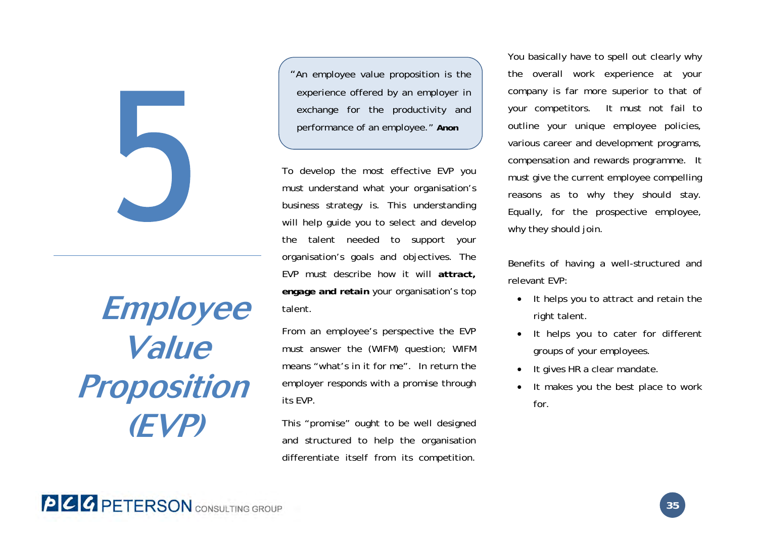

# **Employee Value Proposition (EVP)**

"An employee value proposition is the experience offered by an employer in exchange for the productivity and performance of an employee." **Anon**

To develop the most effective EVP you must understand what your organisation's business strategy is. This understanding will help guide you to select and develop the talent needed to support your organisation's goals and objectives. The EVP must describe how it will *attract, engage and retain* your organisation's top talent.

From an employee's perspective the EVP must answer the (WIFM) question; WIFM means "what's in it for me". In return the employer responds with a promise through its EVP.

This "promise" ought to be well designed and structured to help the organisation differentiate itself from its competition.

You basically have to spell out clearly why the overall work experience at your company is far more superior to that of your competitors. It must not fail to outline your unique employee policies, various career and development programs, compensation and rewards programme. It must give the current employee compelling reasons as to why they should stay. Equally, for the prospective employee, why they should join.

Benefits of having a well-structured and relevant EVP:

- It helps you to attract and retain the right talent.
- It helps you to cater for different groups of your employees.
- $\bullet$ It gives HR a clear mandate.
- . It makes you the best place to work for.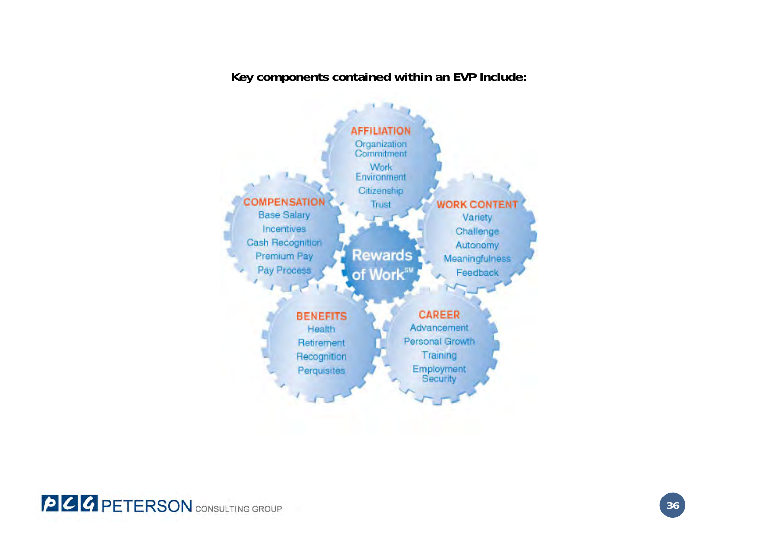**Key components contained within an EVP Include:** 



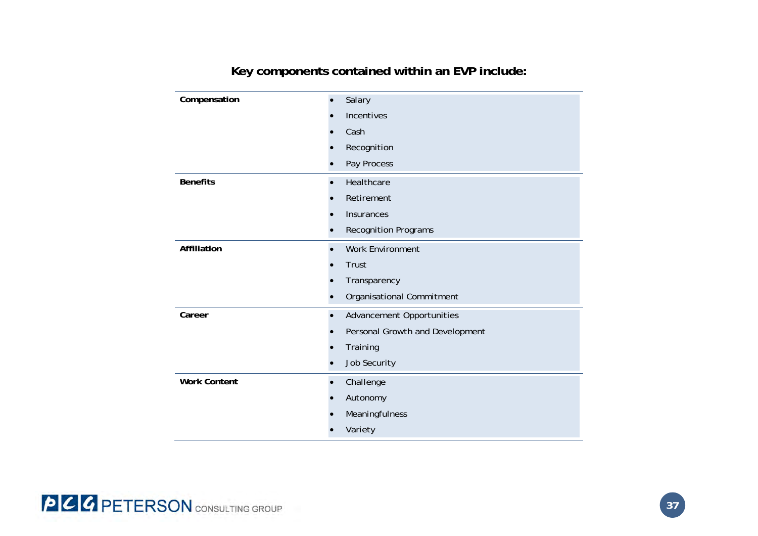| Compensation        | Salary                           |
|---------------------|----------------------------------|
|                     | Incentives                       |
|                     | Cash                             |
|                     | Recognition                      |
|                     | Pay Process                      |
| <b>Benefits</b>     | Healthcare                       |
|                     | Retirement                       |
|                     | Insurances                       |
|                     | <b>Recognition Programs</b>      |
| Affiliation         | <b>Work Environment</b>          |
|                     | Trust                            |
|                     | Transparency                     |
|                     | Organisational Commitment        |
| Career              | <b>Advancement Opportunities</b> |
|                     | Personal Growth and Development  |
|                     | Training                         |
|                     | Job Security                     |
| <b>Work Content</b> | Challenge                        |
|                     | Autonomy                         |
|                     | Meaningfulness                   |
|                     | Variety                          |

### **Key components contained within an EVP include:**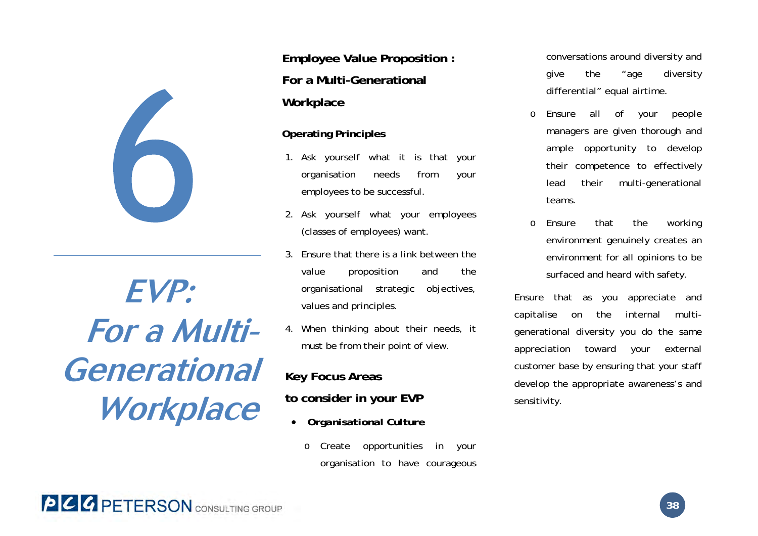

**EVP: For a Multi-Generational Workplace**

**Employee Value Proposition : For a Multi-Generational Workplace** 

### **Operating Principles**

- 1. Ask yourself what it is that your organisation needs from your employees to be successful.
- 2. Ask yourself what your employees (classes of employees) want.
- 3. Ensure that there is a link between the value proposition and the organisational strategic objectives, values and principles.
- 4. When thinking about their needs, it must be from their point of view.

### **Key Focus Areas**

### **to consider in your EVP**

- 0 *Organisational Culture* 
	- o Create opportunities in your organisation to have courageous

conversations around diversity and give the "age diversity differential" equal airtime.

- o Ensure all of your people managers are given thorough and ample opportunity to develop their competence to effectively lead their multi-generational teams.
- o Ensure that the working environment genuinely creates an environment for all opinions to be surfaced and heard with safety.

Ensure that as you appreciate and capitalise on the internal multigenerational diversity you do the same appreciation toward your external customer base by ensuring that your staff develop the appropriate awareness's and sensitivity.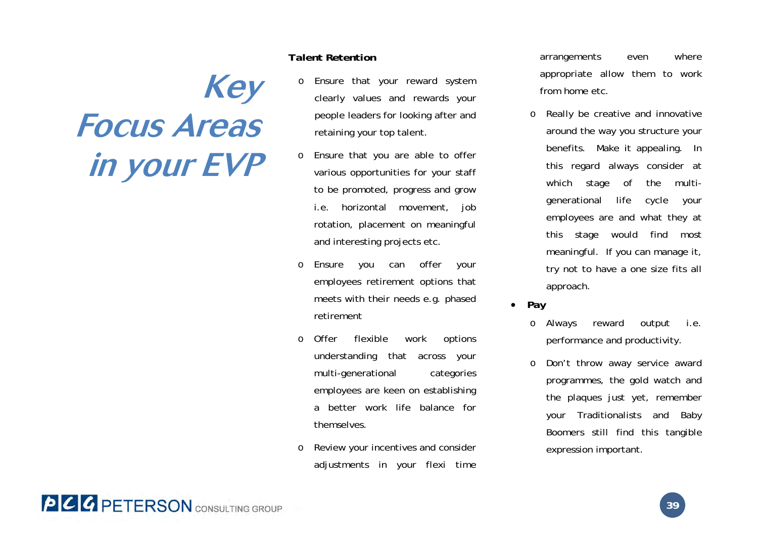# **Key Focus Areas in your EVP**

### *Talent Retention*

- o Ensure that your reward system clearly values and rewards your people leaders for looking after and retaining your top talent.
- o Ensure that you are able to offer various opportunities for your staff to be promoted, progress and grow i.e. horizontal movement, job rotation, placement on meaningful and interesting projects etc.
- o Ensure you can offer your employees retirement options that meets with their needs e.g. phased retirement
- o Offer flexible work options understanding that across your multi-generational categories employees are keen on establishing a better work life balance for themselves.
- o Review your incentives and consider adjustments in your flexi time

arrangements even where appropriate allow them to work from home etc.

- o Really be creative and innovative around the way you structure your benefits. Make it appealing. In this regard always consider at which stage of the multigenerational life cycle your employees are and what they at this stage would find most meaningful. If you can manage it, try not to have a one size fits all approach.
- *Pay* 
	- o Always reward output i.e. performance and productivity.
	- o Don't throw away service award programmes, the gold watch and the plaques just yet, remember your Traditionalists and Baby Boomers still find this tangible expression important.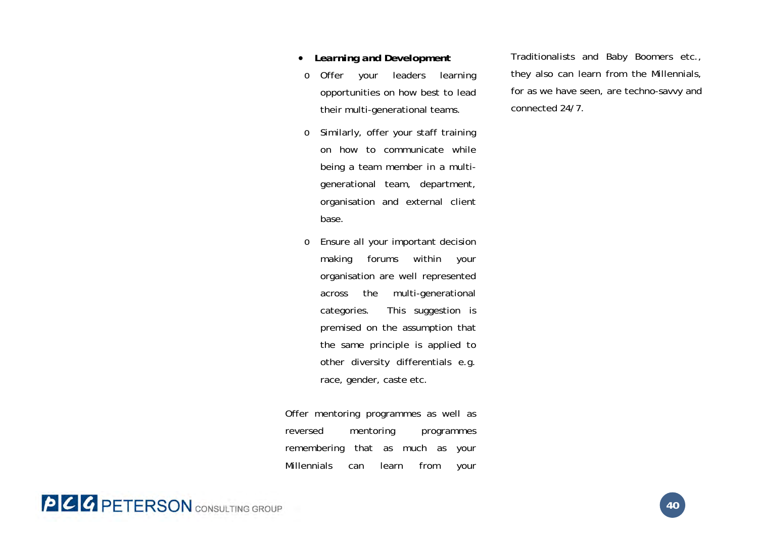- $\bullet$ *Learning and Development*
- o Offer your leaders learning opportunities on how best to lead their multi-generational teams.
- o Similarly, offer your staff training on how to communicate while being a team member in a multigenerational team, department, organisation and external client base.
- o Ensure all your important decision making forums within your organisation are well represented across the multi-generational categories. This suggestion is premised on the assumption that the same principle is applied to other diversity differentials e.g. race, gender, caste etc.

Offer mentoring programmes as well as reversed mentoring programmes remembering that as much as your Millennials can learn from your Traditionalists and Baby Boomers etc., they also can learn from the Millennials, for as we have seen, are techno-savvy and connected 24/7.

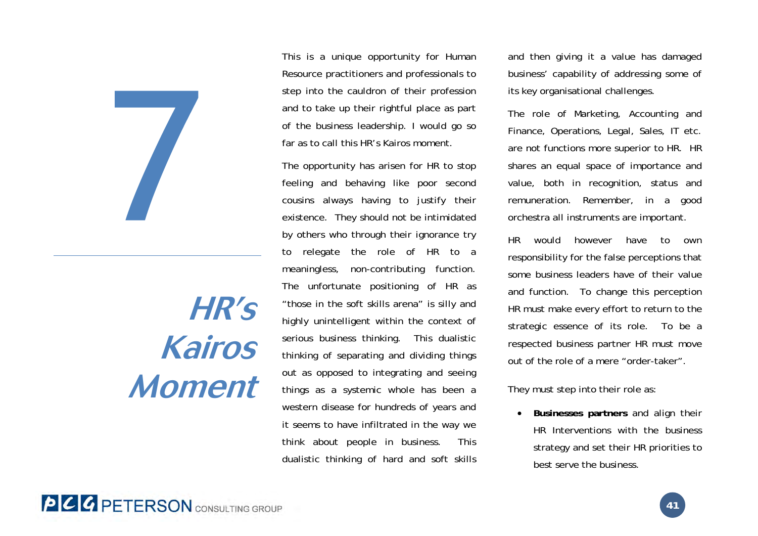

# **HR's Kairos Moment**

This is a unique opportunity for Human Resource practitioners and professionals to step into the cauldron of their profession and to take up their rightful place as part of the business leadership. I would go so far as to call this HR's Kairos moment.

The opportunity has arisen for HR to stop feeling and behaving like poor second cousins always having to justify their existence. They should not be intimidated by others who through their ignorance try to relegate the role of HR to a meaningless, non-contributing function. The unfortunate positioning of HR as "those in the soft skills arena" is silly and highly unintelligent within the context of serious business thinking. This dualistic thinking of separating and dividing things out as opposed to integrating and seeing things as a systemic whole has been a western disease for hundreds of years and it seems to have infiltrated in the way we think about people in business. This dualistic thinking of hard and soft skills

and then giving it a value has damaged business' capability of addressing some of its key organisational challenges.

The role of Marketing, Accounting and Finance, Operations, Legal, Sales, IT etc. are not functions more superior to HR. HR shares an equal space of importance and value, both in recognition, status and remuneration. Remember, in a good orchestra all instruments are important.

HR would however have to own responsibility for the false perceptions that some business leaders have of their value and function. To change this perception HR must make every effort to return to the strategic essence of its role. To be a respected business partner HR must move out of the role of a mere "order-taker".

They must step into their role as:

 $\bullet$  **Businesses partners** and align their HR Interventions with the business strategy and set their HR priorities to best serve the business.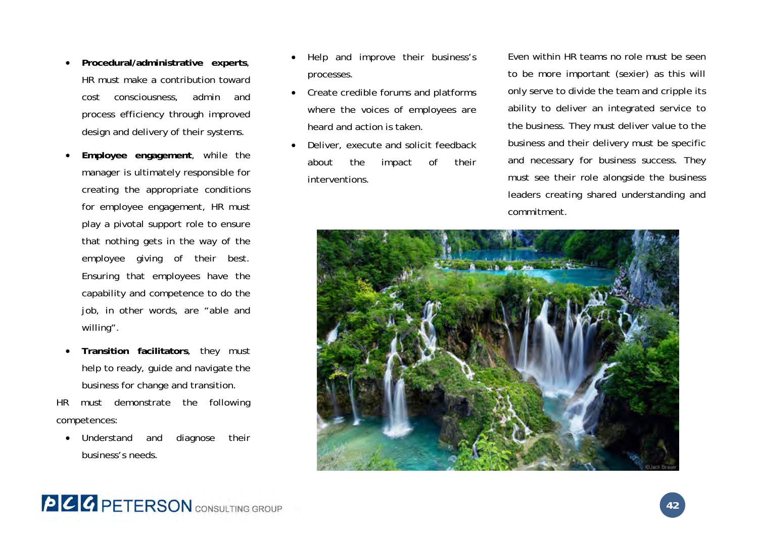- $\bullet$  **Procedural/administrative experts**, HR must make a contribution toward cost consciousness, admin and process efficiency through improved design and delivery of their systems.
- . **Employee engagement**, while the manager is ultimately responsible for creating the appropriate conditions for employee engagement, HR must play a pivotal support role to ensure that nothing gets in the way of the employee giving of their best. Ensuring that employees have the capability and competence to do the job, in other words, are "able and willing".
- $\bullet$  **Transition facilitators**, they must help to ready, guide and navigate the business for change and transition.

HR must demonstrate the following competences:

 $\bullet$  Understand and diagnose their business's needs.

- Help and improve their business's processes.
- Create credible forums and platforms where the voices of employees are heard and action is taken.
- . Deliver, execute and solicit feedback about the impact of their interventions.

Even within HR teams no role must be seen to be more important (sexier) as this will only serve to divide the team and cripple its ability to deliver an integrated service to the business. They must deliver value to the business and their delivery must be specific and necessary for business success. They must see their role alongside the business leaders creating shared understanding and commitment.



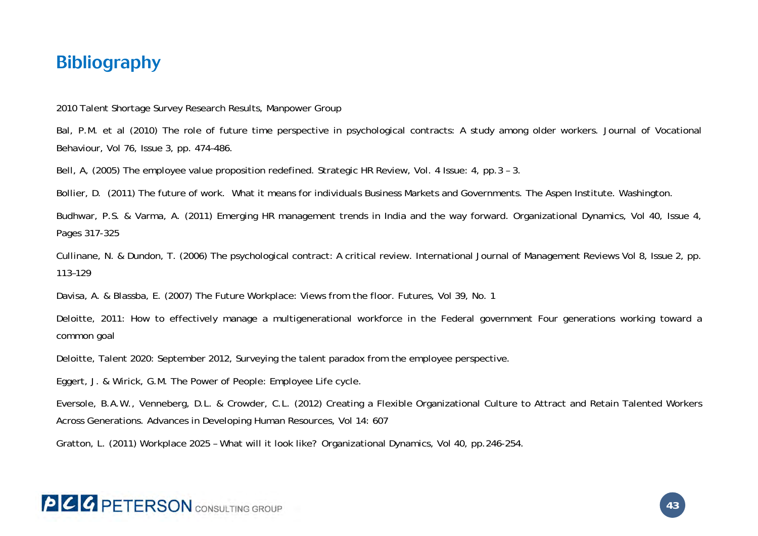### **Bibliography**

2010 Talent Shortage Survey Research Results, Manpower Group

Bal, P.M. et al (2010) The role of future time perspective in psychological contracts: A study among older workers. Journal of Vocational Behaviour, Vol 76, Issue 3, pp. 474–486.

Bell, A, (2005) The employee value proposition redefined. Strategic HR Review, Vol. 4 Issue: 4, pp.3 – 3.

Bollier, D. (2011) The future of work. What it means for individuals Business Markets and Governments. The Aspen Institute. Washington.

Budhwar, P.S. & Varma, A. (2011) Emerging HR management trends in India and the way forward. Organizational Dynamics, Vol 40, Issue 4, Pages 317-325

Cullinane, N. & Dundon, T. (2006) The psychological contract: A critical review. International Journal of Management Reviews Vol 8, Issue 2, pp. 113–129

Davisa, A. & Blassba, E. (2007) The Future Workplace: Views from the floor. Futures, Vol 39, No. 1

Deloitte, 2011: How to effectively manage a multigenerational workforce in the Federal government Four generations working toward a common goal

Deloitte, Talent 2020: September 2012, Surveying the talent paradox from the employee perspective.

Eggert, J. & Wirick, G.M. The Power of People: Employee Life cycle.

Eversole, B.A.W., Venneberg, D.L. & Crowder, C.L. (2012) Creating a Flexible Organizational Culture to Attract and Retain Talented Workers Across Generations. Advances in Developing Human Resources, Vol 14: 607

Gratton, L. (2011) Workplace 2025 – What will it look like? Organizational Dynamics, Vol 40, pp.246-254.

# **PCC PETERSON** CONSULTING GROUP